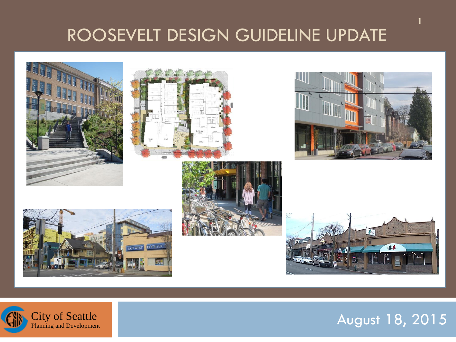#### ROOSEVELT DESIGN GUIDELINE UPDATE







**1**





Planning and Development **City of Seattle**<br>Planning and Development

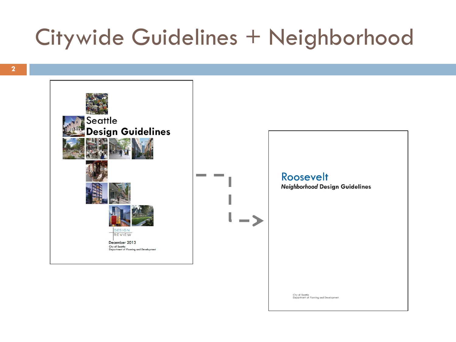## Citywide Guidelines + Neighborhood



Roosevelt **Neighborhood Design Guidelines** 

City of Seattle<br>Department of Planning and Development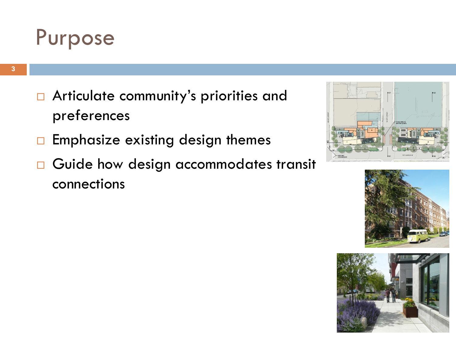

- □ Articulate community's priorities and preferences
- $\Box$  Emphasize existing design themes
- Guide how design accommodates transit connections





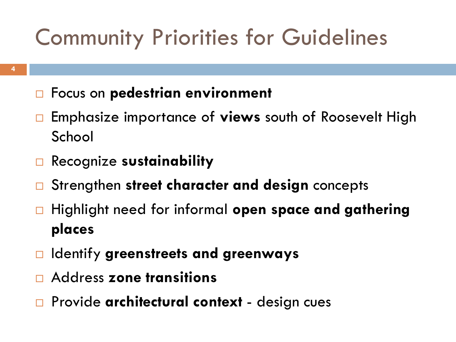# Community Priorities for Guidelines

- Focus on **pedestrian environment**
- Emphasize importance of **views** south of Roosevelt High School
- Recognize **sustainability**
- Strengthen **street character and design** concepts
- Highlight need for informal **open space and gathering places**
- Identify **greenstreets and greenways**
- Address **zone transitions**
- Provide **architectural context**  design cues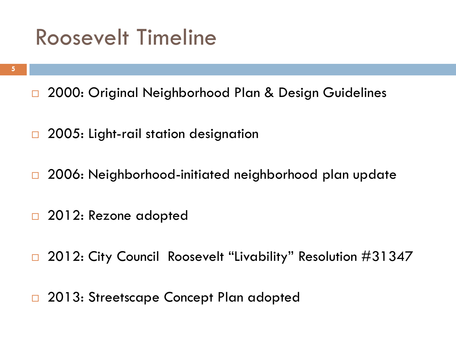### Roosevelt Timeline

- □ 2000: Original Neighborhood Plan & Design Guidelines
- □ 2005: Light-rail station designation
- □ 2006: Neighborhood-initiated neighborhood plan update
- □ 2012: Rezone adopted
- □ 2012: City Council Roosevelt "Livability" Resolution #31347
- □ 2013: Streetscape Concept Plan adopted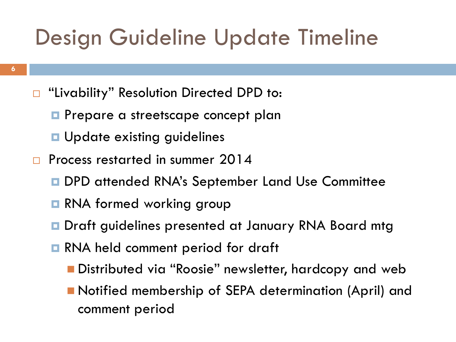## Design Guideline Update Timeline

- □ "Livability" Resolution Directed DPD to:
	- **Prepare a streetscape concept plan**
	- **<u>E</u>** Update existing guidelines
- **Process restarted in summer 2014** 
	- DPD attended RNA's September Land Use Committee
	- **RNA formed working group**
	- **D** Draft guidelines presented at January RNA Board mtg
	- **RNA held comment period for draft** 
		- **Distributed via "Roosie" newsletter, hardcopy and web**
		- Notified membership of SEPA determination (April) and comment period